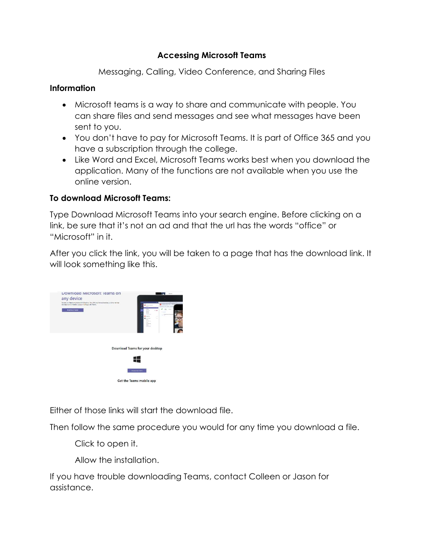## Accessing Microsoft Teams

Messaging, Calling, Video Conference, and Sharing Files

## Information

- Microsoft teams is a way to share and communicate with people. You can share files and send messages and see what messages have been sent to you.
- You don't have to pay for Microsoft Teams. It is part of Office 365 and you have a subscription through the college.
- Like Word and Excel, Microsoft Teams works best when you download the application. Many of the functions are not available when you use the online version.

## To download Microsoft Teams:

Type Download Microsoft Teams into your search engine. Before clicking on a link, be sure that it's not an ad and that the url has the words "office" or "Microsoft" in it.

After you click the link, you will be taken to a page that has the download link. It will look something like this.



Either of those links will start the download file.

Then follow the same procedure you would for any time you download a file.

Click to open it.

Allow the installation.

If you have trouble downloading Teams, contact Colleen or Jason for assistance.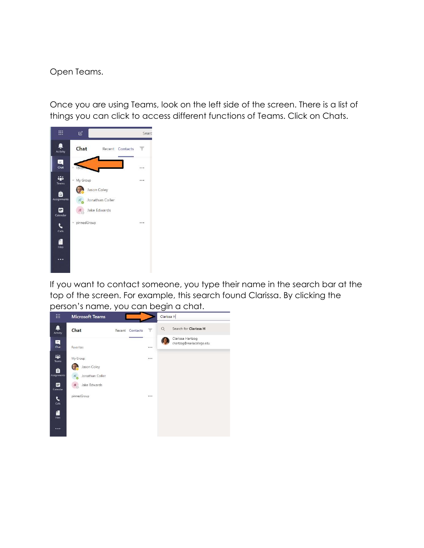Open Teams.

Once you are using Teams, look on the left side of the screen. There is a list of things you can click to access different functions of Teams. Click on Chats.



If you want to contact someone, you type their name in the search bar at the top of the screen. For example, this search found Clarissa. By clicking the person's name, you can begin a chat.

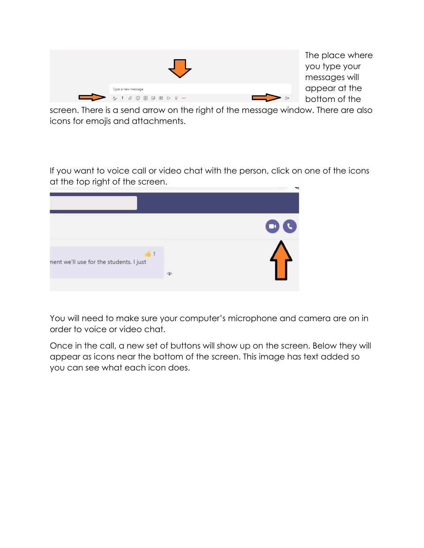|                    |                  | The p<br>you ty<br>messo |
|--------------------|------------------|--------------------------|
| Type a new message |                  | appe                     |
|                    | $\triangleright$ | botto                    |

lace where ype your ages will ar at the m of the

screen. There is a send arrow on the right of the message window. There are also icons for emojis and attachments.

If you want to voice call or video chat with the person, click on one of the icons at the top right of the screen.

| nent we'll use for the students. I just | $\bullet$ | LΚ<br>$\mathcal{O}^{\mathcal{O}}_{\mathcal{O}}$ |
|-----------------------------------------|-----------|-------------------------------------------------|

You will need to make sure your computer's microphone and camera are on in order to voice or video chat.

Once in the call, a new set of buttons will show up on the screen. Below they will appear as icons near the bottom of the screen. This image has text added so you can see what each icon does.